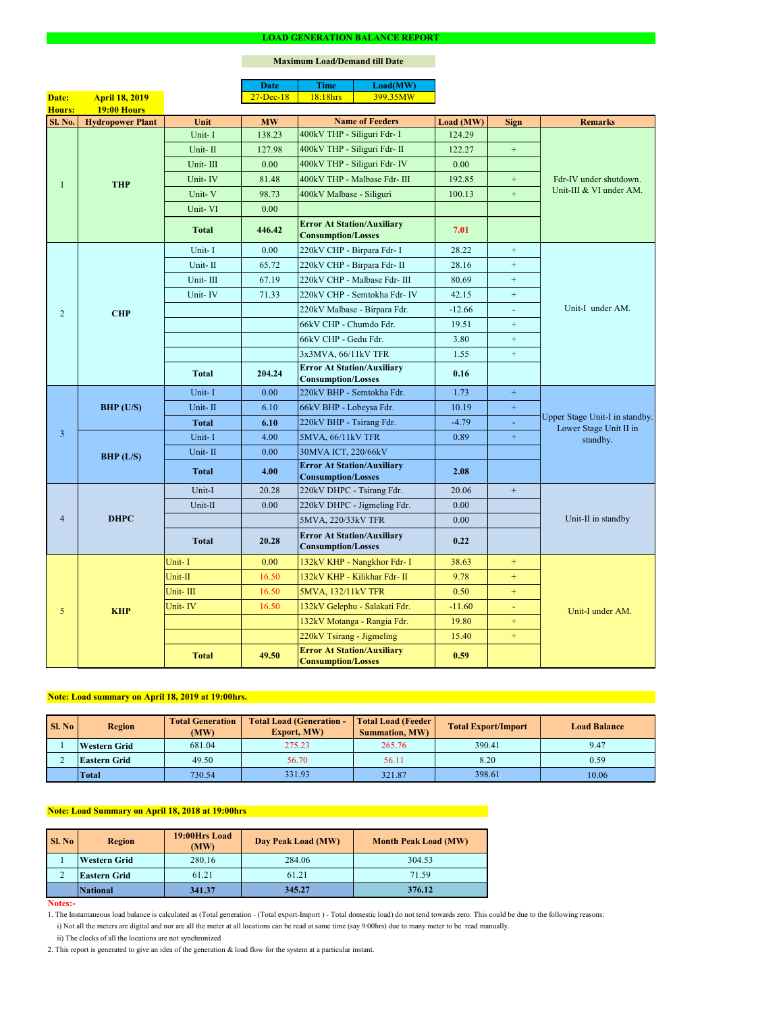#### **Notes:-**

2. This report is generated to give an idea of the generation & load flow for the system at a particular instant.

### **Maximum Load/Demand till Date**

ii) The clocks of all the locations are not synchronized

1. The Instantaneous load balance is calculated as (Total generation - (Total export-Import ) - Total domestic load) do not tend towards zero. This could be due to the following reasons:

| SI. No | <b>Region</b>       | <b>Total Load (Generation -</b><br><b>Total Generation</b><br><b>Export, MW)</b><br>(MW) |        | <b>Total Load (Feeder)</b><br><b>Summation, MW)</b> | <b>Total Export/Import</b> | <b>Load Balance</b> |
|--------|---------------------|------------------------------------------------------------------------------------------|--------|-----------------------------------------------------|----------------------------|---------------------|
|        | <b>Western Grid</b> | 681.04                                                                                   | 275.23 | 265.76                                              | 390.41                     | 9.47                |
|        | <b>Eastern Grid</b> | 49.50                                                                                    | 56.70  | 56.11                                               | 8.20                       | 0.59                |
|        | <b>Total</b>        | 730.54                                                                                   | 331.93 | 321.87                                              | 398.61                     | 10.06               |

|                 |                         |              | <b>Date</b>  | <b>Time</b>                                                    | Load(MW)                      |           |                  |                                                                      |  |
|-----------------|-------------------------|--------------|--------------|----------------------------------------------------------------|-------------------------------|-----------|------------------|----------------------------------------------------------------------|--|
| Date:           | <b>April 18, 2019</b>   |              | $27$ -Dec-18 | 18:18hrs                                                       | 399.35MW                      |           |                  |                                                                      |  |
| <b>Hours:</b>   | <b>19:00 Hours</b>      |              |              |                                                                |                               |           |                  |                                                                      |  |
| <b>Sl. No.</b>  | <b>Hydropower Plant</b> | Unit         | <b>MW</b>    |                                                                | <b>Name of Feeders</b>        | Load (MW) | <b>Sign</b>      | <b>Remarks</b>                                                       |  |
|                 |                         | Unit-I       | 138.23       | 400kV THP - Siliguri Fdr- I                                    |                               | 124.29    |                  |                                                                      |  |
|                 |                         | Unit-II      | 127.98       | 400kV THP - Siliguri Fdr- II                                   |                               | 122.27    | $+$              |                                                                      |  |
|                 |                         | Unit-III     | 0.00         |                                                                | 400kV THP - Siliguri Fdr- IV  | 0.00      |                  |                                                                      |  |
|                 | <b>THP</b>              | Unit-IV      | 81.48        |                                                                | 400kV THP - Malbase Fdr- III  | 192.85    | $+$              | Fdr-IV under shutdown.                                               |  |
|                 |                         | Unit-V       | 98.73        | 400kV Malbase - Siliguri                                       |                               | 100.13    | $+$              | Unit-III & VI under AM.                                              |  |
|                 |                         | Unit-VI      | 0.00         |                                                                |                               |           |                  |                                                                      |  |
|                 |                         | <b>Total</b> | 446.42       | <b>Error At Station/Auxiliary</b><br><b>Consumption/Losses</b> |                               | 7.01      |                  |                                                                      |  |
|                 |                         | Unit-I       | 0.00         | 220kV CHP - Birpara Fdr- I                                     |                               | 28.22     | $+$              |                                                                      |  |
|                 |                         | Unit-II      | 65.72        | 220kV CHP - Birpara Fdr- II                                    |                               | 28.16     | $+$              |                                                                      |  |
|                 |                         | Unit-III     | 67.19        |                                                                | 220kV CHP - Malbase Fdr- III  | 80.69     | $+$              |                                                                      |  |
|                 |                         | Unit-IV      | 71.33        |                                                                | 220kV CHP - Semtokha Fdr- IV  | 42.15     | $+$              |                                                                      |  |
| $\overline{2}$  | <b>CHP</b>              |              |              |                                                                | 220kV Malbase - Birpara Fdr.  | $-12.66$  | $\mathbf{r}$     | Unit-I under AM.                                                     |  |
|                 |                         |              |              | 66kV CHP - Chumdo Fdr.                                         |                               | 19.51     | $+$              |                                                                      |  |
|                 |                         |              |              | 66kV CHP - Gedu Fdr.                                           |                               | 3.80      | $+$              |                                                                      |  |
|                 |                         |              |              | 3x3MVA, 66/11kV TFR                                            |                               | 1.55      | $+$              |                                                                      |  |
|                 |                         | <b>Total</b> | 204.24       | <b>Error At Station/Auxiliary</b><br><b>Consumption/Losses</b> |                               | 0.16      |                  |                                                                      |  |
|                 | $BHP$ (U/S)             | Unit-I       | 0.00         | 220kV BHP - Semtokha Fdr.                                      |                               | 1.73      | $\pm$            | Upper Stage Unit-I in standby.<br>Lower Stage Unit II in<br>standby. |  |
|                 |                         | Unit-II      | 6.10         | 66kV BHP - Lobeysa Fdr.                                        |                               | 10.19     | $\boldsymbol{+}$ |                                                                      |  |
|                 |                         | <b>Total</b> | 6.10         | 220kV BHP - Tsirang Fdr.                                       |                               | $-4.79$   |                  |                                                                      |  |
| $\overline{3}$  |                         | Unit-I       | 4.00         | 5MVA, 66/11kV TFR                                              |                               | 0.89      | $\pm$            |                                                                      |  |
|                 | BHP (L/S)               | Unit-II      | 0.00         | 30MVA ICT, 220/66kV                                            |                               |           |                  |                                                                      |  |
|                 |                         | <b>Total</b> | 4.00         | <b>Error At Station/Auxiliary</b><br><b>Consumption/Losses</b> |                               | 2.08      |                  |                                                                      |  |
|                 | <b>DHPC</b>             | Unit-I       | 20.28        | 220kV DHPC - Tsirang Fdr.                                      |                               | 20.06     | $+$              |                                                                      |  |
|                 |                         | Unit-II      | 0.00         |                                                                | 220kV DHPC - Jigmeling Fdr.   | 0.00      |                  |                                                                      |  |
| $\overline{4}$  |                         |              |              | 5MVA, 220/33kV TFR                                             |                               | 0.00      |                  | Unit-II in standby                                                   |  |
|                 |                         | <b>Total</b> | 20.28        | <b>Error At Station/Auxiliary</b><br><b>Consumption/Losses</b> |                               | 0.22      |                  |                                                                      |  |
|                 |                         | Unit-I       | 0.00         |                                                                | 132kV KHP - Nangkhor Fdr- I   | 38.63     | $+$              |                                                                      |  |
|                 |                         | Unit-II      | 16.50        |                                                                | 132kV KHP - Kilikhar Fdr- II  | 9.78      | $+$              |                                                                      |  |
|                 |                         | Unit-III     | 16.50        | 5MVA, 132/11kV TFR                                             |                               | 0.50      | $+$              |                                                                      |  |
| $5\overline{)}$ | <b>KHP</b>              | Unit-IV      | 16.50        |                                                                | 132kV Gelephu - Salakati Fdr. | $-11.60$  | ÷                | Unit-I under AM.                                                     |  |
|                 |                         |              |              |                                                                | 132kV Motanga - Rangia Fdr.   | 19.80     | $+$              |                                                                      |  |
|                 |                         |              |              | 220kV Tsirang - Jigmeling                                      |                               | 15.40     | $+$              |                                                                      |  |
|                 |                         | <b>Total</b> | 49.50        | <b>Error At Station/Auxiliary</b><br><b>Consumption/Losses</b> |                               | 0.59      |                  |                                                                      |  |

| <b>Sl. No</b> | 19:00Hrs Load<br><b>Region</b><br>(MW) |        | Day Peak Load (MW) | <b>Month Peak Load (MW)</b> |
|---------------|----------------------------------------|--------|--------------------|-----------------------------|
|               | <b>Western Grid</b>                    | 280.16 | 284.06             | 304.53                      |
|               | <b>Eastern Grid</b>                    | 61.21  | 61.21              | 71.59                       |
|               | <b>National</b>                        | 341.37 | 345.27             | 376.12                      |

# **Note: Load summary on April 18, 2019 at 19:00hrs.**

i) Not all the meters are digital and nor are all the meter at all locations can be read at same time (say 9:00hrs) due to many meter to be read manually.

# **Note: Load Summary on April 18, 2018 at 19:00hrs**

#### **LOAD GENERATION BALANCE REPORT**